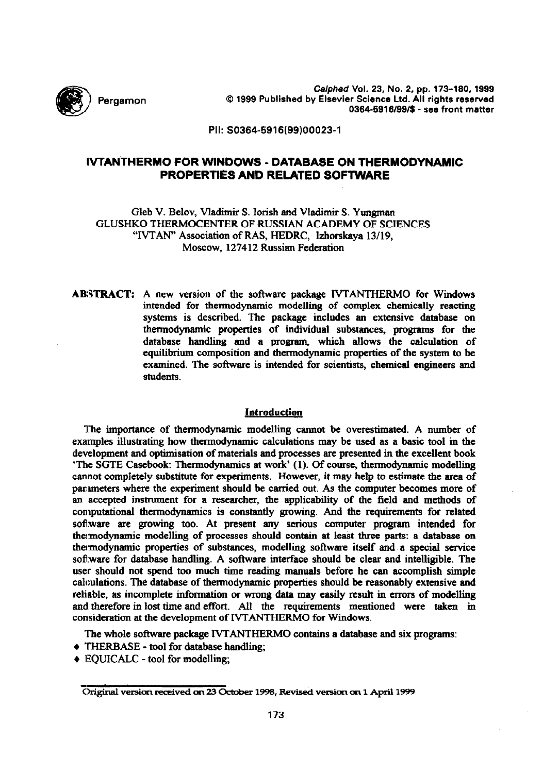

**Calphad Vol. 23, No. 2, pp. 173-180, 1888 0 1899 Published by Elsevier Science Ltd. All rights reserved 0384~SSl8lSSl\$ - see front matter** 

**PII:** SO364-5916(99)00023-l

# IVTANTHERMO FOR WINDOWS - DATABASE ON THERMODYNAMIC PROPERTIES AND RELATED SOFTWARE

Gleb V. Belov, Vladimir S. Iorish and Vladimir S. Yungman GLUSHKO THERMOCENTER OF RUSSIAN ACADEMY OF SCIENCES "IVTAN" Association of RAS, HEDRC, Izhorskaya 13/19, Moscow, 127412 Russian Federation

**ABSTRACT:** A new version of the software package IVTANTHERMO for Windows intended for thermodynamic modelling of complex chemically reacting systems is described. The package includes an extensive database on thermodynamic properties of individual substances, programs for the database handling and a program, which allows the calculation of equilibrium composition and thermodynamic properties of the system to be examined. The software is intended for scientists, chemical engineers and students.

#### **Introduction**

**Ille importance** of thermodynamic modelling cannot be overestimated. A number of examples illustrating how thermodynamic calculations may be used as a basic tool in the development and optimisation of materials and processes are presented in the excellent book 'The SGTE Casebook: Thermodynamics at work' (1). Of course, thermodynamic modelling cannot completely substitute for experiments. However, it may help to estimate the area of pammeters where the experiment should be carried out. As the computer becomes more of an accepted instrument for a researcher, the applicability of the field and methods of computational thermodynamics is constantly growing. And the requirements for related soflware are growing too. At present any serious computer program intended for thermodynamic modelling of processes should contain at least three parts: a database on thermodynamic properties of substances, modelling software itself and a special service sofltware for database handling. A software interface should be clear and intelligible. The user should not spend too much time reading manuals before he can accomplish simple calculations. The database of thermodynamic properties should be reasonably extensive and reliable, as incomplete information or wrong data may easily result in errors of modelling and therefore in lost time and effort. All the requirements mentioned were taken in consideration at the development of IVTANTHERMO for Windows.

The whole software package IVTANTHERMO contains a database and six programs:

- + THERBASE tool for database handling;
- + EQUICALC tool for modelling;

<sup>&</sup>amp;iginaI version received on 23 O&ober **1998, Revised version on 1 April 1999**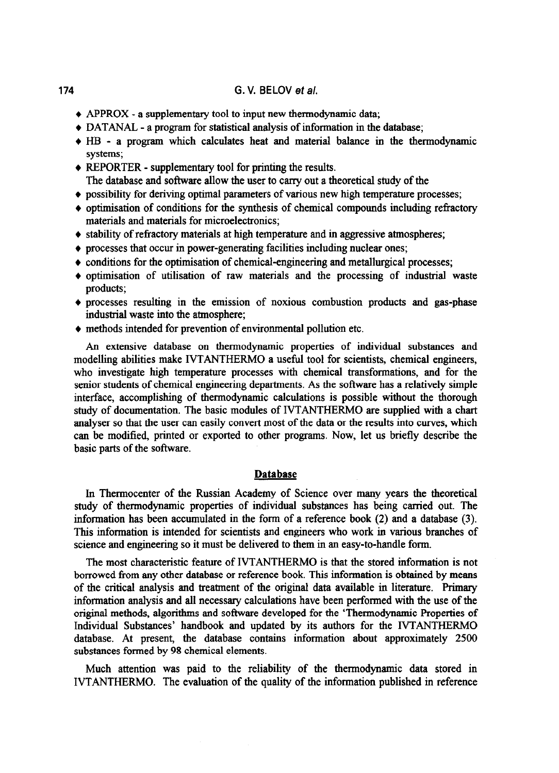### 174 G. V. BELOV et al.

- + APPROX a supplementary tool to input new thermodynamic data;
- + DATANAL a program for statistical analysis of information in the database;
- + HB a program which calculates heat and material balance in the thermodynamic systems;
- + REPORTER supplementary tool for printing the results. The database and software allow the user to carry out a theoretical study of the
- + possibility for deriving optimal parameters of various new high temperature processes;
- + optimisation of conditions for the synthesis of chemical compounds including refractory materials and materials for microelectronics;
- + stability of refractory materials at high temperature and in aggressive atmospheres;
- $\bullet$  processes that occur in power-generating facilities including nuclear ones;
- $\bullet$  conditions for the optimisation of chemical-engineering and metallurgical processes;
- + optimisation of utilisation of raw materials and the processing of industrial waste products;
- + processes resulting in the emission of noxious combustion products and gas-phase industrial waste into the atmosphere;
- + methods intended for prevention of environmental pollution etc.

An extensive database on thermodynamic properties of individual substances and modelling abilities make IVTANTHERMO a useful tool for scientists, chemical engineers, who investigate high temperature processes with chemical transformations, and for the senior students of chemical engineering departments. As the software has a relatively simple interface, accomplishing of thermodynamic calculations is possible without the thorough study of documentation. The basic modules of IVTANTHERMO are supplied with a chart analyser so that the user can easily convert most of the data or the results into curves, which can be modified, printed or exported to other programs. Now, let us briefly describe the basic parts of the software.

## **Database**

In Thermocenter of the Russian Academy of Science over many years the theoretical study of thermodynamic properties of individual substances has being carried out. The information has been accumulated in the form of a reference book (2) and a database (3). This information is intended for scientists and engineers who work in various branches of science and engineering so it must be delivered to them in an easy-to-handle form.

The most characteristic feature of IVTANTHERMO is that the stored information is not borrowed from any other database or reference book. This information is obtained by means of the critical analysis and treatment of the original data available in literature. Primary information analysis and all necessary calculations have been performed with the use of the original methods, algorithms and software developed for the 'Thermodynamic Properties of Individual Substances' handbook and updated by its authors for the IVTANTHERMO database. At present, the database contains information about approximately 2500 substances formed by 98 chemical elements.

Much attention was paid to the reliability of the thermodynamic data stored in IVTANTHERMO. The evaluation of the quality of the information published in reference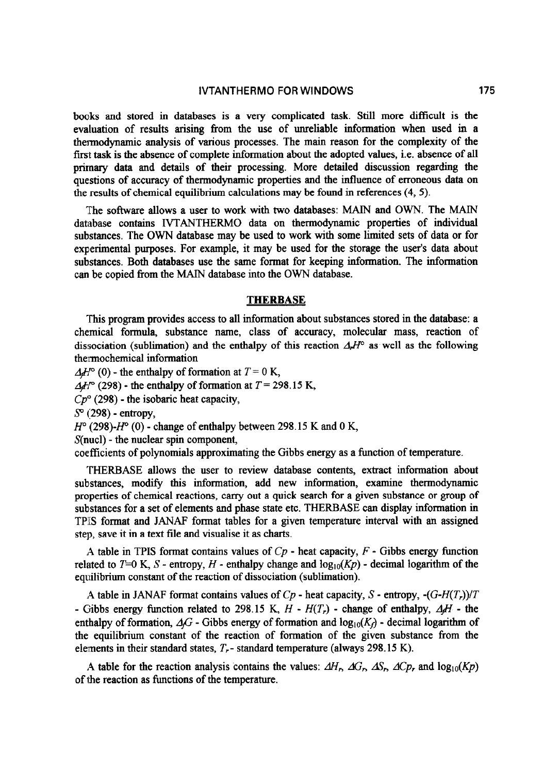### **IVTANTHERMO FOR WINDOWS** 175

books and stored in databases is a very complicated task. Still more difficult is the evaluation of results arising from the use of unreliable information when used in a thamodynamic analysis of various processes. The main reason for the complexity of the first task is the absence of complete information about the adopted values, i.e. absence of all primary data and details of their processing. More detailed discussion regarding the questions of accuracy of thermodynamic properties and the influence of erroneous data on the results of chemical equilibrium calculations may be found in references  $(4, 5)$ .

The software allows a user to work with two databases: MAIN and OWN. The MAIN database contains IVTANTHERMO data on thermodynamic properties of individual substances. The OWN database may be used to work with some limited sets of data or for experimental purposes. For example, it may be used for the storage the user's data about substances. Both databases use the same format for keeping information. The information can be copied from the MAIN database into the OWN database.

#### **THERBASE**

This program provides access to all information about substances stored in the database: a chemical formula, substance name, class of accuracy, molecular mass, reaction of dissociation (sublimation) and the enthalpy of this reaction  $\Delta H^{\circ}$  as well as the following thermochemical information

 $\Delta H^{\circ}$  (0) - the enthalpy of formation at  $T = 0$  K,

 $\Delta H^{\circ}$  (298) - the enthalpy of formation at  $T = 298.15$  K,

*Cp'* (298) - the isobaric heat capacity,

 $S^{\circ}$  (298) - entropy,

 $H^{\circ}$  (298)- $H^{\circ}$  (0) - change of enthalpy between 298.15 K and 0 K,

 $S(nucl)$  - the nuclear spin component,

coefficients of polynomials approximating the Gibbs energy as a function of temperature.

THEFCBASE allows the user to review database contents, extract information about substances, modify this information, add new information, examine thermodynamic properties of chemical reactions, carry out a quick search for a given substance or group of substances for a set of elements and phase state etc. THERBASE can display information in TPliS format and JANAF format tables for a given temperature interval with an assigned step, save it in a text file and visualise it as charts.

'4 table in TPIS format contains values of *Cp -* heat capacity, *F -* Gibbs energy function related to  $T=0$  K, S - entropy, H - enthalpy change and  $log_{10}(Kp)$  - decimal logarithm of the equilibrium constant of the reaction of dissociation (sublimation).

'4 table in JANAF format contains values of *Cp -* heat capacity, S - entropy, *-(G-H(T,))/T -* Cibbs energy function related to 298.15 K,  $H - H(T_r)$  - change of enthalpy,  $\Delta H$  - the enthalpy of formation,  $\Delta G$  - Gibbs energy of formation and  $\log_{10}(K_f)$  - decimal logarithm of the equilibrium constant of the reaction of formation of the given substance from the elements in their standard states,  $T_r$ -standard temperature (always 298.15 K).

A table for the reaction analysis contains the values:  $\Delta H_p$ ,  $\Delta G_p$ ,  $\Delta S_p$ ,  $\Delta C_p$ , and log<sub>10</sub>(Kp) of the reaction as functions of the temperature.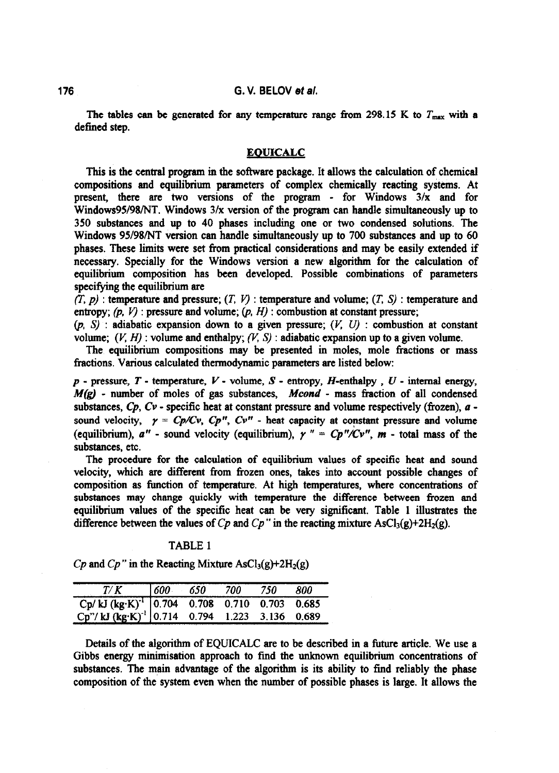The tables can be generated for any temperature range from 298.15 K to  $T_{\text{max}}$  with a defined step.

### **EOUICALC**

This is the central program in the software package. It allows the calculation of chemical compositions and equilibrium parameters of complex chemically reacting systems. At present, there are two versions of the program - for Windows  $3/x$  and for Windows95/98/NT. Windows 3/x version of the program can handle simultaneously up to 350 substances and up to 40 phases including one or two condensed solutions. The Windows 95/98/NT version can handle simultaneously up to 700 substances and up to 60 phases. These limits were set from practical considerations and may be easily extended if necessary. Specially for the Windows version a new algorithm for the calculation of equilibrium composition has been developed. Possible combinations of parameters specifying the equilibrium are

 $(T, p)$  : temperature and pressure;  $(T, V)$  : temperature and volume;  $(T, S)$  : temperature and entropy;  $(p, V)$ : pressure and volume;  $(p, H)$ : combustion at constant pressure;

 $(p, S)$ : adiabatic expansion down to a given pressure;  $(V, U)$ : combustion at constant volume;  $(V, H)$ ; volume and enthalpy;  $(V, S)$ ; adiabatic expansion up to a given volume.

The equilibrium compositions may be presented in moles, mole fractions or mass fractions. Various calculated thermodynamic parameters are listed below:

 $p$  - pressure,  $T$  - temperature,  $V$  - volume,  $S$  - entropy,  $H$ -enthalpy,  $U$  - internal energy,  $M(e)$  - number of moles of gas substances, *Mcond* - mass fraction of all condensed substances, *Cp*, *Cv* - specific heat at constant pressure and volume respectively (frozen), *a* sound velocity,  $y = Cp/Cv$ ,  $Cv''$ ,  $Cv''$  - heat capacity at constant pressure and volume (equilibrium),  $a''$  - sound velocity (equilibrium),  $\gamma'' = Cp''/Cv''$ ,  $m$  - total mass of the substances, etc.

The procedure for the calculation of equilibrium values of specific heat and sound velocity, which are different from frozen ones, takes into account possible changes of composition as function of temperature. At high temperatures, where concentrations of substances may change quickly with temperature the difference between frozen and equilibrium values of the specific heat can be very significant. Table 1 illustrates the difference between the values of *Cp* and *Cp* " in the reacting mixture AsCl<sub>3</sub>(g)+2H<sub>2</sub>(g).

#### TABLE 1

*Cp* and *Cp*" in the Reacting Mixture  $\text{AsCl}_3(g) + 2\text{H}_2(g)$ 

| T/K                                                                                                     | $\sqrt{600}$ | 650 | - 700 | 750 | -800 |
|---------------------------------------------------------------------------------------------------------|--------------|-----|-------|-----|------|
| Cp/kJ $(kg K)^{-1}$ 0.704 0.708 0.710 0.703 0.685<br>Cp'/kJ $(kg K)^{-1}$ 0.714 0.794 1.223 3.136 0.689 |              |     |       |     |      |
|                                                                                                         |              |     |       |     |      |

Details of the algorithm of EQUICALC are to be described in a future article. We use a Gibbs energy minimisation approach to find the unknown equilibrium concentrations of substances. The main advantage of the algorithm is its ability to find reliably the phase composition of the system even when the number of possible phases is large. It allows the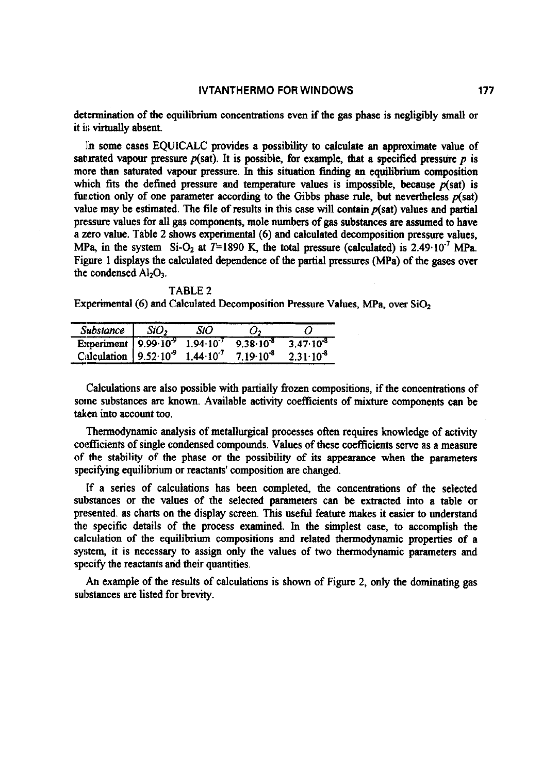determination of the equilibrium concentrations even if the gas phase is negligibly small or it is virtually absent.

lin some cases EQUICALC provides a possibility to calculate an approximate value of saturated vapour pressure  $p$ (sat). It is possible, for example, that a specified pressure p is more than saturated vapour pressure. In this situation finding an equilibrium composition which fits the defined pressure and temperature values is impossible, because  $p(sat)$  is function only of one parameter according to the Gibbs phase rule, but nevertheless  $p(sat)$ value may be estimated. The file of results in this case will contain  $p(sat)$  values and partial pressure values for all gas components, mole numbers of gas substances are assumed to have a zero value. Table 2 shows experimental (6) and calculated decomposition pressure values, MPa, in the system Si-O<sub>2</sub> at T=1890 K, the total pressure (calculated) is 2.49.10<sup>-7</sup> MPa. Figure 1 displays the calculated dependence of the partial pressures (MPa) of the gases over the condensed  $Al<sub>2</sub>O<sub>3</sub>$ .

TABLE 2

Experimental (6) and Calculated Decomposition Pressure Values, MPa, over  $SiO<sub>2</sub>$ 

| Substance                                              | SiO, | SiO.                 |                      |                      |
|--------------------------------------------------------|------|----------------------|----------------------|----------------------|
| Experiment 9.99.10 <sup>-9</sup> 1.94.10 <sup>-7</sup> |      |                      | $9.38 \cdot 10^{-8}$ | $3.47 \cdot 10^{-8}$ |
| Calculation   $9.52 \cdot 10^{-9}$                     |      | $1.44 \cdot 10^{-7}$ | $7.19 \cdot 10^{-8}$ | $2.31 \cdot 10^{-8}$ |

Calculations are also possible with partially frozen compositions, if the concentrations of some substances are known. Available activity coefficients of mixture components can be taken into account too.

Thermodynamic analysis of metallurgical processes often requires knowledge of activity coefficients of single condensed compounds. Values of these coefficients serve as a measure of the stability of the phase or the possibility of its appearance when the parameters specifying equilibrium or reactants' composition are changed.

If a series of calculations has been completed, the concentrations of the selected substances or the values of the selected parameters can be extracted into a table or presented. as charts on the display screen. This useful feature makes it easier to understand the specific details of the process examined. In the simplest case, to accomplish the calculation of the equilibrium compositions and related thermodynamic properties of a system, it is necessary to assign only the values of two thermodynamic parameters and specify the reactants and their quantities.

An example of the results of calculations is shown of Figure 2, only the dominating gas substances are listed for brevity.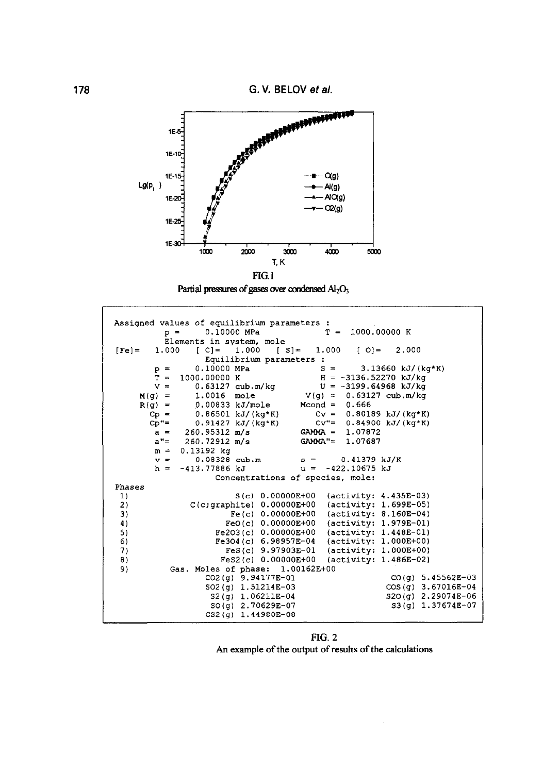



Assigned values of equilibrium parameters :<br> $p = 0.10000$  MPa  $T = 1000.00000K$ Elements in system, mole<br>[Fe]= 1.000 [ C]= 1.000 [ S]= 1.000 [ O]= 2.000  $[C] = \begin{bmatrix} 1.000 & [S] = 1.000 \\ \text{Equilibrium parameters} : 0.10000 \text{ MPa} & S = \end{bmatrix}$  $p =$  0.10000 MPa <br>  $T =$  1000.00000 K <br>  $H = -3136.52270 \text{ kJ/kg}$ -<br>T = 1000.00000 K H = -3136.52270 kJ/kg<br>V = 0.63127 cub.m/kg U = -3199.64968 kJ/kg  $V =$  0.63127 cub.m/kg  $V = -3199.64968$  kJ/kg<br>M(g) = 1.0016 mole  $V(g) = 0.63127$  cub.m/kg  $M(g) = 1.0016$  mole  $V(g) = 0.63127$  cub.m/kg<br> $R(g) = 0.00833$  kJ/mole Mcond = 0.666  $\Gamma(g) = 0.00833 \text{ kJ/mole}$ <br>Cp = 0.86501 kJ/(kg\*K)  $Cp =$  0.86501 kJ/(kg\*K)  $Cv =$  0.80189 kJ/(kg\*K)<br> $Cp' =$  0.91427 kJ/(kg\*K)  $Cv' =$  0.84900 kJ/(kg\*K) -<br>P<sup>"=</sup> 0.91427 kJ/(kg\*K) Cv"= 0.84900<br>a = 260.95312 m/s GAMMA = 1.07872  $a = 260.95312 \text{ m/s}$  GAMMA = 1.07872<br>a"= 260.72912 m/s GAMMA"= 1.07687  $a" = 260.72912 \text{ m/s}$ <br> $m = 0.13192 \text{ kg}$  $m = 0.13192$  kg<br> $v = 0.08328$  $v =$  0.08328 cub.m  $s =$  0.41379 kJ/K<br>h = -413.77886 kJ u = -422.10675 kJ  $u = -422.10675$  kJ Concentrations of species, mole: Phases 1)  $S(c)$  0.00000E+00 (activity: 4.435E-03)<br>2) C(c;graphite) 0.00000E+00 (activity: 1.699E-05) 2) C(c;graphite) 0.00000E+00<br>3) Fe(c) 0.00000E+00 3) Fe(c) 0.00000E+00 (activity: 8.160E-04)<br>4) FeO(c) 0.00000E+00 (activity: 1.979E-01) 4) FeO(c) 0.00000E+00 (activity: 1.979E-01)<br>5) Fe2O3(c) 0.00000E+00 (activity: 1.448E-01) 5) Fe2O3(c) 0.00000E+00<br>6) Fe3O4(c) 6.98957E-04 6) Fe304(c) 6.989573-04 (activity: l.OOOEtOO) 7) Fescale Fest (c) 9.97903E-01 (activity: 1.000E+00)<br>18) Fescale Fescale Fest (activity: 1.486E-02) 8) FeS2(c) 0.00000E+00 (activity: 1.486E-02)<br>9) Gas. Moles of phase: 1.00162E+00 9) Gas. Moles of phase: l.O0162E+OO  $CO(9)$  9.94177E-01  $CO(9)$  5.45562E-03<br> $SO(9)$  1.51214E-03  $CO(9)$  3.67016E-04  $\cos(q)$  3.67016E-04  $S2(q)$  1.06211E-04  $S2(q)$  2.29074E-06<br> $SO(q)$  2.70629E-07  $S3(q)$  1.37674E-07 S3(g) 1.37674E-07 CS2(g) 1.44980E-08

FIG. 2

An example of the output of results of the calculations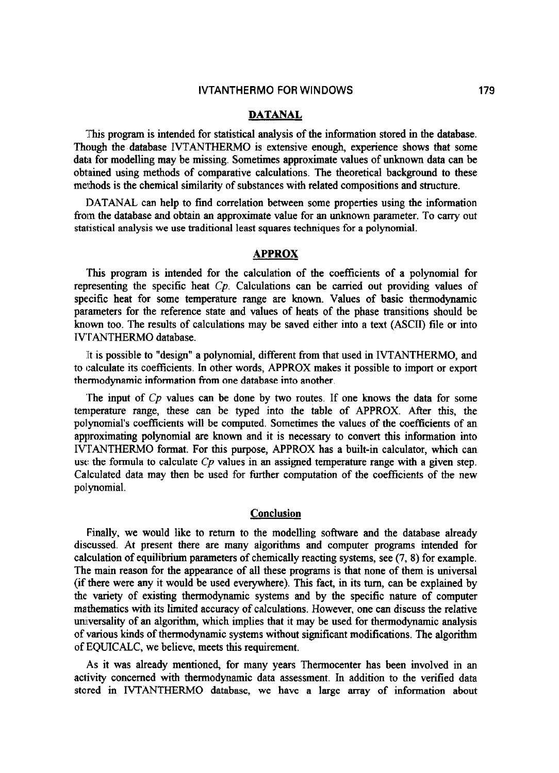#### **IVTANTHERMO FOR WINDOWS**

### DATANAL

This program is intended for statistical analysis of the information stored in the database. Though the database IVTANTHERMO is extensive enough, experience shows that some data for modelling may be missing. Sometimes approximate values of unknown data can be obtained using methods of comparative calculations. The theoretical background to these methods is the chemical similarity of substances with related compositions and structure.

DATANAL can help to find correlation between some properties using the information from the database and obtain an approximate value for an unknown parameter. To carry out statistical analysis we use traditional least squares techniques for a polynomial.

## APPROX

This program is intended for the calculation of the coefficients of a polynomial for representing the specific heat *Cp.* Calculations can be carried out providing values of specific heat for some temperature range are known. Values of basic thermodynamic parameters for the reference state and values of heats of the phase transitions should be known too. The results of calculations may be saved either into a text (ASCII) file or into IVTANTHERMO database.

It is possible to "design" a polynomial, different from that used in IVTANTHERMO, and to calculate its coefficients. In other words, APPROX makes it possible to import or export thermodynamic information from one database into another.

'The input of *Cp* values can be done by two routes. If one knows the data for some temperature range, these can be typed into the table of APPROX. After this, the polynomials coefficients will be computed. Sometimes the values of the coefficients of an approximating polynomial are known and it is necessary to convert this information into IVTANTHERMO format. For this purpose, APPROX has a built-in calculator, which can use the formula to calculate *Cp* values in an assigned temperature range with a given step. Calculated data may then be used for further computation of the coefficients of the new polynomial.

## Conclusion

Finally, we would like to return to the modelling software and the database already discussed. At present there are many algorithms and computer programs intended for calculation of equilibrium parameters of chemically reacting systems, see (7, 8) for example. The main reason for the appearance of all these programs is that none of them is universal (if there were any it would be used everywhere). This fact, in its turn, can be explained by the variety of existing thermodynamic systems and by the specific nature of computer mathematics with its limited accuracy of calculations. However, one can discuss the relative umversality of an algorithm, which implies that it may be used for thermodynamic analysis of various kinds of thermodynamic systems without significant modifications. The algorithm of EQUICALC, we believe, meets this requirement.

As it was already mentioned, for many years Thermocenter has been involved in an activity concerned with thermodynamic data assessment. In addition to the verified data stored in IVTANTHERMO database, we have a large array of information about